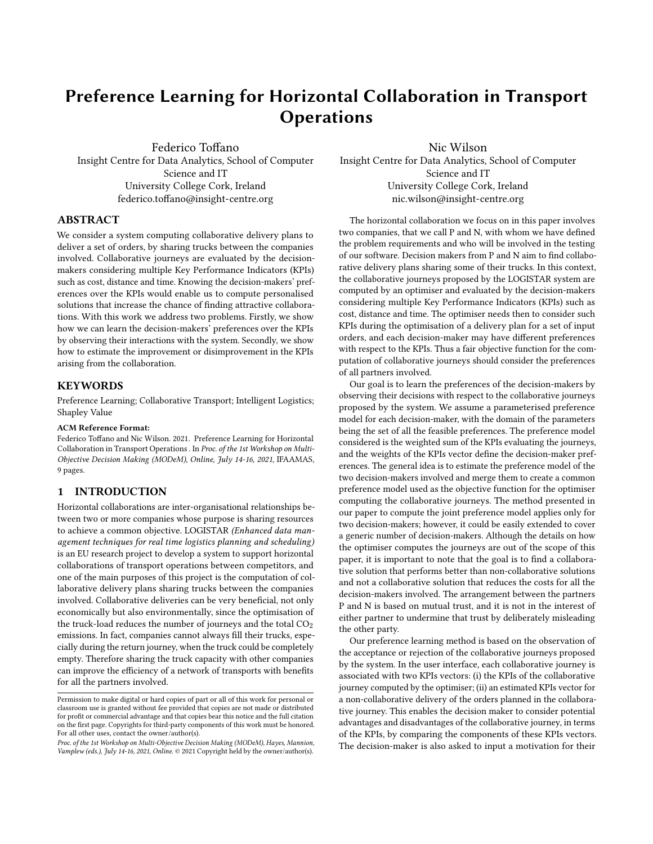# Preference Learning for Horizontal Collaboration in Transport **Operations**

Federico Toffano Insight Centre for Data Analytics, School of Computer Science and IT University College Cork, Ireland federico.toffano@insight-centre.org

Nic Wilson Insight Centre for Data Analytics, School of Computer Science and IT University College Cork, Ireland nic.wilson@insight-centre.org

# ABSTRACT

We consider a system computing collaborative delivery plans to deliver a set of orders, by sharing trucks between the companies involved. Collaborative journeys are evaluated by the decisionmakers considering multiple Key Performance Indicators (KPIs) such as cost, distance and time. Knowing the decision-makers' preferences over the KPIs would enable us to compute personalised solutions that increase the chance of finding attractive collaborations. With this work we address two problems. Firstly, we show how we can learn the decision-makers' preferences over the KPIs by observing their interactions with the system. Secondly, we show how to estimate the improvement or disimprovement in the KPIs arising from the collaboration.

### **KEYWORDS**

Preference Learning; Collaborative Transport; Intelligent Logistics; Shapley Value

#### ACM Reference Format:

Federico Toffano and Nic Wilson. 2021. Preference Learning for Horizontal Collaboration in Transport Operations . In Proc. of the 1st Workshop on Multi-Objective Decision Making (MODeM), Online, July 14-16, 2021, IFAAMAS, [9](#page-8-0) pages.

## 1 INTRODUCTION

Horizontal collaborations are inter-organisational relationships between two or more companies whose purpose is sharing resources to achieve a common objective. LOGISTAR (Enhanced data management techniques for real time logistics planning and scheduling) is an EU research project to develop a system to support horizontal collaborations of transport operations between competitors, and one of the main purposes of this project is the computation of collaborative delivery plans sharing trucks between the companies involved. Collaborative deliveries can be very beneficial, not only economically but also environmentally, since the optimisation of the truck-load reduces the number of journeys and the total  $CO<sub>2</sub>$ emissions. In fact, companies cannot always fill their trucks, especially during the return journey, when the truck could be completely empty. Therefore sharing the truck capacity with other companies can improve the efficiency of a network of transports with benefits for all the partners involved.

The horizontal collaboration we focus on in this paper involves two companies, that we call P and N, with whom we have defined the problem requirements and who will be involved in the testing of our software. Decision makers from P and N aim to find collaborative delivery plans sharing some of their trucks. In this context, the collaborative journeys proposed by the LOGISTAR system are computed by an optimiser and evaluated by the decision-makers considering multiple Key Performance Indicators (KPIs) such as cost, distance and time. The optimiser needs then to consider such KPIs during the optimisation of a delivery plan for a set of input orders, and each decision-maker may have different preferences with respect to the KPIs. Thus a fair objective function for the computation of collaborative journeys should consider the preferences of all partners involved.

Our goal is to learn the preferences of the decision-makers by observing their decisions with respect to the collaborative journeys proposed by the system. We assume a parameterised preference model for each decision-maker, with the domain of the parameters being the set of all the feasible preferences. The preference model considered is the weighted sum of the KPIs evaluating the journeys, and the weights of the KPIs vector define the decision-maker preferences. The general idea is to estimate the preference model of the two decision-makers involved and merge them to create a common preference model used as the objective function for the optimiser computing the collaborative journeys. The method presented in our paper to compute the joint preference model applies only for two decision-makers; however, it could be easily extended to cover a generic number of decision-makers. Although the details on how the optimiser computes the journeys are out of the scope of this paper, it is important to note that the goal is to find a collaborative solution that performs better than non-collaborative solutions and not a collaborative solution that reduces the costs for all the decision-makers involved. The arrangement between the partners P and N is based on mutual trust, and it is not in the interest of either partner to undermine that trust by deliberately misleading the other party.

Our preference learning method is based on the observation of the acceptance or rejection of the collaborative journeys proposed by the system. In the user interface, each collaborative journey is associated with two KPIs vectors: (i) the KPIs of the collaborative journey computed by the optimiser; (ii) an estimated KPIs vector for a non-collaborative delivery of the orders planned in the collaborative journey. This enables the decision maker to consider potential advantages and disadvantages of the collaborative journey, in terms of the KPIs, by comparing the components of these KPIs vectors. The decision-maker is also asked to input a motivation for their

Permission to make digital or hard copies of part or all of this work for personal or classroom use is granted without fee provided that copies are not made or distributed for profit or commercial advantage and that copies bear this notice and the full citation on the first page. Copyrights for third-party components of this work must be honored. For all other uses, contact the owner/author(s).

Proc. of the 1st Workshop on Multi-Objective Decision Making (MODeM), Hayes, Mannion, Vamplew (eds.), July 14-16, 2021, Online. © 2021 Copyright held by the owner/author(s).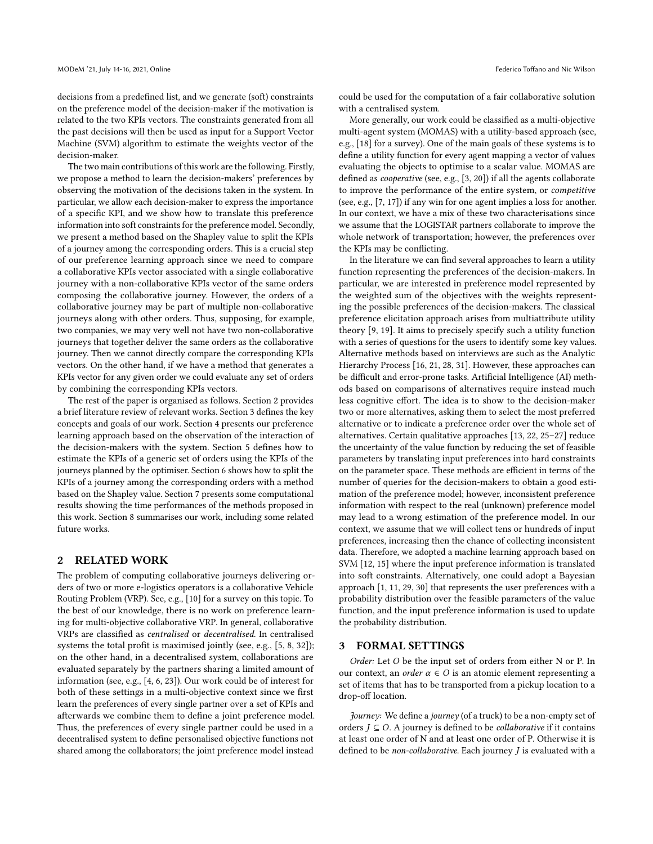decisions from a predefined list, and we generate (soft) constraints on the preference model of the decision-maker if the motivation is related to the two KPIs vectors. The constraints generated from all the past decisions will then be used as input for a Support Vector Machine (SVM) algorithm to estimate the weights vector of the decision-maker.

The two main contributions of this work are the following. Firstly, we propose a method to learn the decision-makers' preferences by observing the motivation of the decisions taken in the system. In particular, we allow each decision-maker to express the importance of a specific KPI, and we show how to translate this preference information into soft constraints for the preference model. Secondly, we present a method based on the Shapley value to split the KPIs of a journey among the corresponding orders. This is a crucial step of our preference learning approach since we need to compare a collaborative KPIs vector associated with a single collaborative journey with a non-collaborative KPIs vector of the same orders composing the collaborative journey. However, the orders of a collaborative journey may be part of multiple non-collaborative journeys along with other orders. Thus, supposing, for example, two companies, we may very well not have two non-collaborative journeys that together deliver the same orders as the collaborative journey. Then we cannot directly compare the corresponding KPIs vectors. On the other hand, if we have a method that generates a KPIs vector for any given order we could evaluate any set of orders by combining the corresponding KPIs vectors.

The rest of the paper is organised as follows. Section [2](#page-1-0) provides a brief literature review of relevant works. Section [3](#page-1-1) defines the key concepts and goals of our work. Section [4](#page-2-0) presents our preference learning approach based on the observation of the interaction of the decision-makers with the system. Section [5](#page-4-0) defines how to estimate the KPIs of a generic set of orders using the KPIs of the journeys planned by the optimiser. Section [6](#page-5-0) shows how to split the KPIs of a journey among the corresponding orders with a method based on the Shapley value. Section [7](#page-6-0) presents some computational results showing the time performances of the methods proposed in this work. Section [8](#page-7-0) summarises our work, including some related future works.

#### <span id="page-1-0"></span>2 RELATED WORK

The problem of computing collaborative journeys delivering orders of two or more e-logistics operators is a collaborative Vehicle Routing Problem (VRP). See, e.g., [\[10\]](#page-8-1) for a survey on this topic. To the best of our knowledge, there is no work on preference learning for multi-objective collaborative VRP. In general, collaborative VRPs are classified as centralised or decentralised. In centralised systems the total profit is maximised jointly (see, e.g., [\[5,](#page-8-2) [8,](#page-8-3) [32\]](#page-8-4)); on the other hand, in a decentralised system, collaborations are evaluated separately by the partners sharing a limited amount of information (see, e.g., [\[4,](#page-8-5) [6,](#page-8-6) [23\]](#page-8-7)). Our work could be of interest for both of these settings in a multi-objective context since we first learn the preferences of every single partner over a set of KPIs and afterwards we combine them to define a joint preference model. Thus, the preferences of every single partner could be used in a decentralised system to define personalised objective functions not shared among the collaborators; the joint preference model instead

could be used for the computation of a fair collaborative solution with a centralised system.

More generally, our work could be classified as a multi-objective multi-agent system (MOMAS) with a utility-based approach (see, e.g., [\[18\]](#page-8-8) for a survey). One of the main goals of these systems is to define a utility function for every agent mapping a vector of values evaluating the objects to optimise to a scalar value. MOMAS are defined as cooperative (see, e.g., [\[3,](#page-8-9) [20\]](#page-8-10)) if all the agents collaborate to improve the performance of the entire system, or competitive (see, e.g., [\[7,](#page-8-11) [17\]](#page-8-12)) if any win for one agent implies a loss for another. In our context, we have a mix of these two characterisations since we assume that the LOGISTAR partners collaborate to improve the whole network of transportation; however, the preferences over the KPIs may be conflicting.

In the literature we can find several approaches to learn a utility function representing the preferences of the decision-makers. In particular, we are interested in preference model represented by the weighted sum of the objectives with the weights representing the possible preferences of the decision-makers. The classical preference elicitation approach arises from multiattribute utility theory [\[9,](#page-8-13) [19\]](#page-8-14). It aims to precisely specify such a utility function with a series of questions for the users to identify some key values. Alternative methods based on interviews are such as the Analytic Hierarchy Process [\[16,](#page-8-15) [21,](#page-8-16) [28,](#page-8-17) [31\]](#page-8-18). However, these approaches can be difficult and error-prone tasks. Artificial Intelligence (AI) methods based on comparisons of alternatives require instead much less cognitive effort. The idea is to show to the decision-maker two or more alternatives, asking them to select the most preferred alternative or to indicate a preference order over the whole set of alternatives. Certain qualitative approaches [\[13,](#page-8-19) [22,](#page-8-20) [25](#page-8-21)[–27\]](#page-8-22) reduce the uncertainty of the value function by reducing the set of feasible parameters by translating input preferences into hard constraints on the parameter space. These methods are efficient in terms of the number of queries for the decision-makers to obtain a good estimation of the preference model; however, inconsistent preference information with respect to the real (unknown) preference model may lead to a wrong estimation of the preference model. In our context, we assume that we will collect tens or hundreds of input preferences, increasing then the chance of collecting inconsistent data. Therefore, we adopted a machine learning approach based on SVM [\[12,](#page-8-23) [15\]](#page-8-24) where the input preference information is translated into soft constraints. Alternatively, one could adopt a Bayesian approach [\[1,](#page-8-25) [11,](#page-8-26) [29,](#page-8-27) [30\]](#page-8-28) that represents the user preferences with a probability distribution over the feasible parameters of the value function, and the input preference information is used to update the probability distribution.

#### <span id="page-1-1"></span>3 FORMAL SETTINGS

Order: Let  $O$  be the input set of orders from either  $N$  or  $P$ . In our context, an *order*  $\alpha \in O$  is an atomic element representing a set of items that has to be transported from a pickup location to a drop-off location.

Journey: We define a journey (of a truck) to be a non-empty set of orders  $J \subseteq O$ . A journey is defined to be *collaborative* if it contains at least one order of N and at least one order of P. Otherwise it is defined to be non-collaborative. Each journey  $J$  is evaluated with a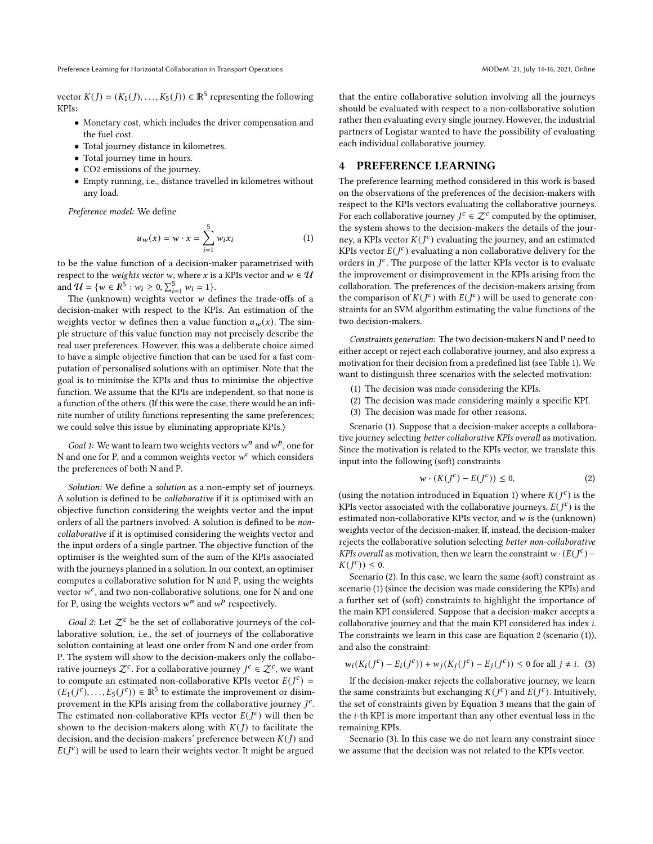Preference Learning for Horizontal Collaboration in Transport Operations **MODEM 121, 1998** MODeM '21, July 14-16, 2021, Online

vector  $K(J) = (K_1(J), \ldots, K_5(J)) \in \mathbb{R}^5$  representing the following KPIs:

- Monetary cost, which includes the driver compensation and the fuel cost.
- Total journey distance in kilometres.
- Total journey time in hours.
- CO2 emissions of the journey.
- Empty running, i.e., distance travelled in kilometres without any load.

Preference model: We define

<span id="page-2-1"></span>
$$
u_w(x) = w \cdot x = \sum_{i=1}^{5} w_i x_i \tag{1}
$$

to be the value function of a decision-maker parametrised with respect to the weights vector w, where x is a KPIs vector and  $w \in U$ and  $\mathcal{U} = \{ w \in \overline{R^5} : w_i \ge 0, \sum_{i=1}^5 w_i = 1 \}.$ 

The (unknown) weights vector  $w$  defines the trade-offs of a decision-maker with respect to the KPIs. An estimation of the weights vector w defines then a value function  $u_w(x)$ . The simple structure of this value function may not precisely describe the real user preferences. However, this was a deliberate choice aimed to have a simple objective function that can be used for a fast computation of personalised solutions with an optimiser. Note that the goal is to minimise the KPIs and thus to minimise the objective function. We assume that the KPIs are independent, so that none is a function of the others. (If this were the case, there would be an infinite number of utility functions representing the same preferences; we could solve this issue by eliminating appropriate KPIs.)

Goal 1: We want to learn two weights vectors  $w^n$  and  $w^p$ , one for N and one for P, and a common weights vector  $w^c$  which considers the preferences of both N and P.

Solution: We define a solution as a non-empty set of journeys. A solution is defined to be collaborative if it is optimised with an objective function considering the weights vector and the input orders of all the partners involved. A solution is defined to be noncollaborative if it is optimised considering the weights vector and the input orders of a single partner. The objective function of the optimiser is the weighted sum of the sum of the KPIs associated with the journeys planned in a solution. In our context, an optimiser computes a collaborative solution for N and P, using the weights vector  $w^c$ , and two non-collaborative solutions, one for N and one for P, using the weights vectors  $w^n$  and  $w^p$  respectively.

Goal 2: Let  $\mathcal{Z}^c$  be the set of collaborative journeys of the collaborative solution, i.e., the set of journeys of the collaborative solution containing at least one order from N and one order from P. The system will show to the decision-makers only the collaborative journeys  $\mathcal{Z}^c$ . For a collaborative journey  $J^c \in \mathcal{Z}^c$ , we want to compute an estimated non-collaborative KPIs vector  $E(J^c)$  =  $(E_1(J^c),...,E_5(J^c)) \in \mathbb{R}^5$  to estimate the improvement or disimprovement in the KPIs arising from the collaborative journey  $I^c$ . The estimated non-collaborative KPIs vector  $E(J^c)$  will then be shown to the decision-makers along with  $K(J)$  to facilitate the decision, and the decision-makers' preference between  $K(J)$  and  $E(J<sup>c</sup>)$  will be used to learn their weights vector. It might be argued

that the entire collaborative solution involving all the journeys should be evaluated with respect to a non-collaborative solution rather then evaluating every single journey. However, the industrial partners of Logistar wanted to have the possibility of evaluating each individual collaborative journey.

#### <span id="page-2-0"></span>4 PREFERENCE LEARNING

The preference learning method considered in this work is based on the observations of the preferences of the decision-makers with respect to the KPIs vectors evaluating the collaborative journeys. For each collaborative journey  $J^c \in \mathcal{Z}^c$  computed by the optimiser, the system shows to the decision-makers the details of the journey, a KPIs vector  $K(J^c)$  evaluating the journey, and an estimated KPIs vector  $E(J^{c})$  evaluating a non collaborative delivery for the orders in  $I^c$ . The purpose of the latter KPIs vector is to evaluate the improvement or disimprovement in the KPIs arising from the collaboration. The preferences of the decision-makers arising from the comparison of  $K(J^c)$  with  $E(J^c)$  will be used to generate constraints for an SVM algorithm estimating the value functions of the two decision-makers.

Constraints generation: The two decision-makers N and P need to either accept or reject each collaborative journey, and also express a motivation for their decision from a predefined list (see Table [1\)](#page-3-0). We want to distinguish three scenarios with the selected motivation:

- (1) The decision was made considering the KPIs.
- (2) The decision was made considering mainly a specific KPI.
- (3) The decision was made for other reasons.

Scenario (1). Suppose that a decision-maker accepts a collaborative journey selecting better collaborative KPIs overall as motivation. Since the motivation is related to the KPIs vector, we translate this input into the following (soft) constraints

<span id="page-2-2"></span>
$$
w \cdot (K(J^c) - E(J^c)) \le 0,\tag{2}
$$

(using the notation introduced in Equation [1\)](#page-2-1) where  $K(J^{c})$  is the KPIs vector associated with the collaborative journeys,  $E(J^c)$  is the estimated non-collaborative KPIs vector, and  $w$  is the (unknown) weights vector of the decision-maker. If, instead, the decision-maker rejects the collaborative solution selecting better non-collaborative *KPIs overall* as motivation, then we learn the constraint  $w \cdot (E(J^c) - E)$  $K(J^{c})) \leq 0.$ 

Scenario (2). In this case, we learn the same (soft) constraint as scenario (1) (since the decision was made considering the KPIs) and a further set of (soft) constraints to highlight the importance of the main KPI considered. Suppose that a decision-maker accepts a collaborative journey and that the main KPI considered has index *i*. The constraints we learn in this case are Equation [2](#page-2-2) (scenario (1)), and also the constraint:

<span id="page-2-3"></span>
$$
w_i(K_i(J^c) - E_i(J^c)) + w_j(K_j(J^c) - E_j(J^c)) \le 0
$$
 for all  $j \neq i$ . (3)

If the decision-maker rejects the collaborative journey, we learn the same constraints but exchanging  $K(J^c)$  and  $E(J^c)$ . Intuitively, the set of constraints given by Equation [3](#page-2-3) means that the gain of the  $i$ -th KPI is more important than any other eventual loss in the remaining KPIs.

Scenario (3). In this case we do not learn any constraint since we assume that the decision was not related to the KPIs vector.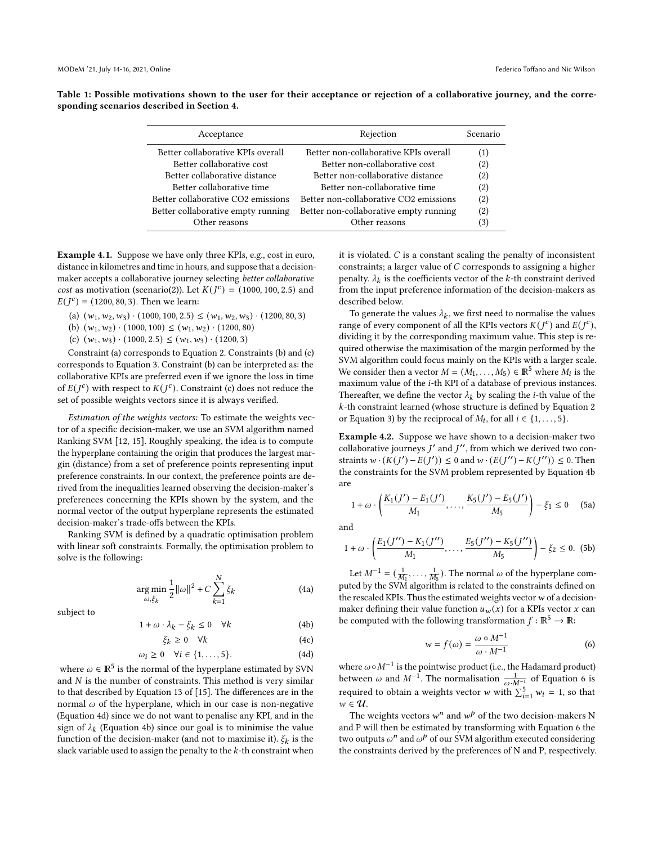MODeM '21, July 14-16, 2021, Online Federico Toffano and Nic Wilson

<span id="page-3-0"></span>Table 1: Possible motivations shown to the user for their acceptance or rejection of a collaborative journey, and the corresponding scenarios described in Section [4.](#page-2-0)

| Scenario |
|----------|
| (1)      |
| (2)      |
| (2)      |
| (2)      |
| (2)      |
| (2)      |
| (3)      |
|          |

Example 4.1. Suppose we have only three KPIs, e.g., cost in euro, distance in kilometres and time in hours, and suppose that a decisionmaker accepts a collaborative journey selecting better collaborative cost as motivation (scenario(2)). Let  $K(J<sup>c</sup>) = (1000, 100, 2.5)$  and  $E(J^{c}) = (1200, 80, 3)$ . Then we learn:

(a)  $(w_1, w_2, w_3) \cdot (1000, 100, 2.5) \leq (w_1, w_2, w_3) \cdot (1200, 80, 3)$ 

(b)  $(w_1, w_2) \cdot (1000, 100) \le (w_1, w_2) \cdot (1200, 80)$ 

(c)  $(w_1, w_3) \cdot (1000, 2.5) \le (w_1, w_3) \cdot (1200, 3)$ 

Constraint (a) corresponds to Equation [2.](#page-2-2) Constraints (b) and (c) corresponds to Equation [3.](#page-2-3) Constraint (b) can be interpreted as: the collaborative KPIs are preferred even if we ignore the loss in time of  $E(J^{c})$  with respect to  $K(J^{c})$ . Constraint (c) does not reduce the set of possible weights vectors since it is always verified.

Estimation of the weights vectors: To estimate the weights vector of a specific decision-maker, we use an SVM algorithm named Ranking SVM [\[12,](#page-8-23) [15\]](#page-8-24). Roughly speaking, the idea is to compute the hyperplane containing the origin that produces the largest margin (distance) from a set of preference points representing input preference constraints. In our context, the preference points are derived from the inequalities learned observing the decision-maker's preferences concerning the KPIs shown by the system, and the normal vector of the output hyperplane represents the estimated decision-maker's trade-offs between the KPIs.

Ranking SVM is defined by a quadratic optimisation problem with linear soft constraints. Formally, the optimisation problem to solve is the following:

$$
\underset{\omega,\xi_k}{\text{arg min}} \frac{1}{2} ||\omega||^2 + C \sum_{k=1}^{N} \xi_k
$$
\n(4a)

subject to

<span id="page-3-2"></span>
$$
1 + \omega \cdot \lambda_k - \xi_k \le 0 \quad \forall k \tag{4b}
$$

$$
\xi_k \ge 0 \quad \forall k \tag{4c}
$$

<span id="page-3-1"></span>
$$
\omega_i \ge 0 \quad \forall i \in \{1, \dots, 5\}.
$$
 (4d)

where  $\omega \in \mathbb{R}^5$  is the normal of the hyperplane estimated by SVN and  $N$  is the number of constraints. This method is very similar to that described by Equation 13 of [\[15\]](#page-8-24). The differences are in the normal  $\omega$  of the hyperplane, which in our case is non-negative (Equation [4d\)](#page-3-1) since we do not want to penalise any KPI, and in the sign of  $\lambda_k$  (Equation [4b\)](#page-3-2) since our goal is to minimise the value function of the decision-maker (and not to maximise it).  $\xi_k$  is the slack variable used to assign the penalty to the  $k$ -th constraint when it is violated.  $C$  is a constant scaling the penalty of inconsistent constraints; a larger value of  $C$  corresponds to assigning a higher penalty.  $\lambda_k$  is the coefficients vector of the k-th constraint derived from the input preference information of the decision-makers as described below.

To generate the values  $\lambda_k$ , we first need to normalise the values range of every component of all the KPIs vectors  $K(J^c)$  and  $E(J^c)$ , dividing it by the corresponding maximum value. This step is required otherwise the maximisation of the margin performed by the SVM algorithm could focus mainly on the KPIs with a larger scale. We consider then a vector  $M = (M_1, \ldots, M_5) \in \mathbb{R}^5$  where  $M_i$  is the maximum value of the *i*-th KPI of a database of previous instances. Thereafter, we define the vector  $\lambda_k$  by scaling the *i*-th value of the -th constraint learned (whose structure is defined by Equation [2](#page-2-2) or Equation [3\)](#page-2-3) by the reciprocal of  $M_i$ , for all  $i \in \{1, \ldots, 5\}$ .

Example 4.2. Suppose we have shown to a decision-maker two collaborative journeys  $I'$  and  $I''$ , from which we derived two constraints  $w \cdot (K(J') - E(J')) \leq 0$  and  $w \cdot (E(J'') - K(J'')) \leq 0$ . Then the constraints for the SVM problem represented by Equation [4b](#page-3-2) are

$$
1 + \omega \cdot \left(\frac{K_1(J') - E_1(J')}{M_1}, \dots, \frac{K_5(J') - E_5(J')}{M_5}\right) - \xi_1 \le 0 \quad \text{(5a)}
$$

and

$$
1 + \omega \cdot \left(\frac{E_1(J'') - K_1(J'')}{M_1}, \dots, \frac{E_5(J'') - K_5(J'')}{M_5}\right) - \xi_2 \le 0.
$$
 (5b)

Let  $M^{-1} = (\frac{1}{M_1}, \ldots, \frac{1}{M_5})$ . The normal  $\omega$  of the hyperplane computed by the SVM algorithm is related to the constraints defined on the rescaled KPIs. Thus the estimated weights vector  $w$  of a decisionmaker defining their value function  $u_w(x)$  for a KPIs vector  $x$  can be computed with the following transformation  $f : \mathbb{R}^5 \to \mathbb{R}$ :

<span id="page-3-3"></span>
$$
w = f(\omega) = \frac{\omega \circ M^{-1}}{\omega \cdot M^{-1}}
$$
 (6)

where  $\omega \circ M^{-1}$  is the pointwise product (i.e., the Hadamard product) between  $\omega$  and  $M^{-1}$ . The normalisation  $\frac{1}{\omega \cdot M^{-1}}$  of Equation [6](#page-3-3) is required to obtain a weights vector  $w$  with  $\sum_{i=1}^{5} w_i = 1$ , so that  $w \in U$ .

The weights vectors  $w^n$  and  $w^p$  of the two decision-makers N and P will then be estimated by transforming with Equation [6](#page-3-3) the two outputs  $\omega^n$  and  $\omega^p$  of our SVM algorithm executed considering the constraints derived by the preferences of N and P, respectively.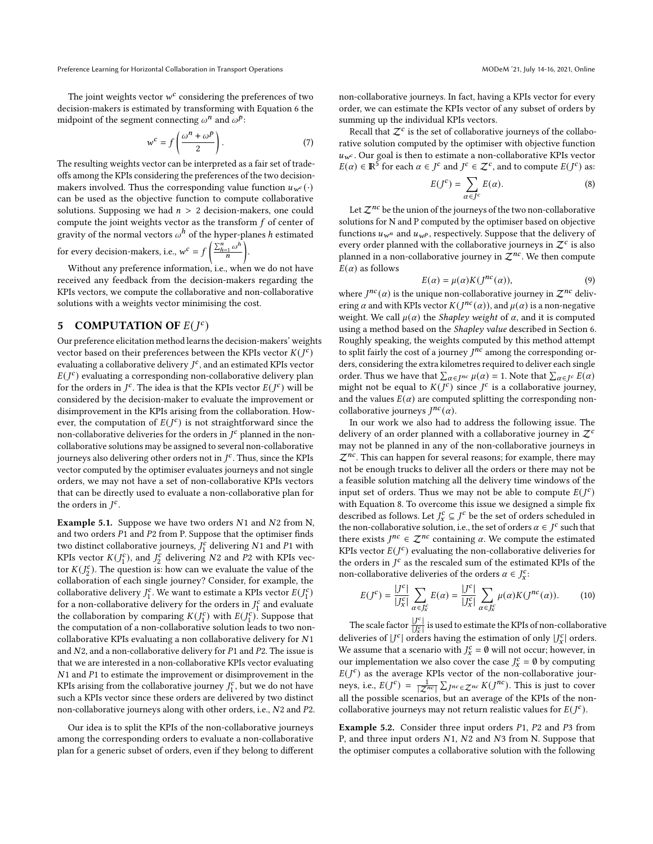Preference Learning for Horizontal Collaboration in Transport Operations **MODEM 121, 1998** MODeM '21, July 14-16, 2021, Online

The ioint weights vector  $w^c$  considering the preferences of two decision-makers is estimated by transforming with Equation [6](#page-3-3) the midpoint of the segment connecting  $\omega^n$  and  $\omega^p$ :

$$
w^{c} = f\left(\frac{\omega^{n} + \omega^{p}}{2}\right).
$$
 (7)

The resulting weights vector can be interpreted as a fair set of tradeoffs among the KPIs considering the preferences of the two decisionmakers involved. Thus the corresponding value function  $u_{w}(\cdot)$ can be used as the objective function to compute collaborative solutions. Supposing we had  $n > 2$  decision-makers, one could compute the joint weights vector as the transform  $f$  of center of gravity of the normal vectors  $\omega^h$  of the hyper-planes h estimated

for every decision-makers, i.e.,  $w^c = f\left(\frac{\sum_{h=1}^n \omega^h}{n}\right)$  $\frac{1}{n} \omega^h$ .

Without any preference information, i.e., when we do not have received any feedback from the decision-makers regarding the KPIs vectors, we compute the collaborative and non-collaborative solutions with a weights vector minimising the cost.

# <span id="page-4-0"></span>5 COMPUTATION OF  $E(J<sup>c</sup>)$

Our preference elicitation method learns the decision-makers' weights vector based on their preferences between the KPIs vector  $K(J^c)$ evaluating a collaborative delivery  $I^c$ , and an estimated KPIs vector  $E(J^{c})$  evaluating a corresponding non-collaborative delivery plan for the orders in  $J^c$ . The idea is that the KPIs vector  $E(J^c)$  will be considered by the decision-maker to evaluate the improvement or disimprovement in the KPIs arising from the collaboration. However, the computation of  $E(J^c)$  is not straightforward since the non-collaborative deliveries for the orders in  $\overline{I^c}$  planned in the noncollaborative solutions may be assigned to several non-collaborative iourneys also delivering other orders not in  $I^c$ . Thus, since the KPIs vector computed by the optimiser evaluates journeys and not single orders, we may not have a set of non-collaborative KPIs vectors that can be directly used to evaluate a non-collaborative plan for the orders in  $I^c$ .

**Example 5.1.** Suppose we have two orders  $N1$  and  $N2$  from N, and two orders  $P1$  and  $P2$  from P. Suppose that the optimiser finds two distinct collaborative journeys,  $J_1^{\prime\prime}$  delivering N1 and P1 with KPIs vector  $K(J_1^c)$ , and  $J_2^c$  delivering N2 and P2 with KPIs vector  $K(J_2^c)$ . The question is: how can we evaluate the value of the collaboration of each single journey? Consider, for example, the collaborative delivery  $J_1^c$ . We want to estimate a KPIs vector  $E(J_1^c)$ for a non-collaborative delivery for the orders in  $J_1^c$  and evaluate the collaboration by comparing  $K(J_1^c)$  with  $E(J_1^c)$ . Suppose that the computation of a non-collaborative solution leads to two noncollaborative KPIs evaluating a non collaborative delivery for N1 and  $N2$ , and a non-collaborative delivery for  $P1$  and  $P2$ . The issue is that we are interested in a non-collaborative KPIs vector evaluating  $N1$  and  $P1$  to estimate the improvement or disimprovement in the KPIs arising from the collaborative journey  $J_1^c$ , but we do not have such a KPIs vector since these orders are delivered by two distinct non-collaborative journeys along with other orders, i.e.,  $N2$  and  $P2$ .

Our idea is to split the KPIs of the non-collaborative journeys among the corresponding orders to evaluate a non-collaborative plan for a generic subset of orders, even if they belong to different

non-collaborative journeys. In fact, having a KPIs vector for every order, we can estimate the KPIs vector of any subset of orders by summing up the individual KPIs vectors.

Recall that  $\mathcal{Z}^c$  is the set of collaborative journeys of the collaborative solution computed by the optimiser with objective function  $u_{w}$ . Our goal is then to estimate a non-collaborative KPIs vector  $E(\alpha) \in \mathbb{R}^5$  for each  $\alpha \in J^c$  and  $J^c \in \mathcal{Z}^c$ , and to compute  $E(J^c)$  as:

<span id="page-4-1"></span>
$$
E(J^{c}) = \sum_{\alpha \in J^{c}} E(\alpha). \tag{8}
$$

Let  $\mathcal{Z}^{nc}$  be the union of the journeys of the two non-collaborative solutions for N and P computed by the optimiser based on objective functions  $u_{w^n}$  and  $u_{w^p}$ , respectively. Suppose that the delivery of every order planned with the collaborative journeys in  $\mathcal{Z}^c$  is also planned in a non-collaborative journey in  $\mathcal{Z}^{nc}$ . We then compute  $E(\alpha)$  as follows

<span id="page-4-2"></span>
$$
E(\alpha) = \mu(\alpha)K(J^{nc}(\alpha)),\tag{9}
$$

where  $J^{nc}(\alpha)$  is the unique non-collaborative journey in  $\mathcal{Z}^{nc}$  delivering  $\alpha$  and with KPIs vector  $K(J^{nc}(\alpha))$ , and  $\mu(\alpha)$  is a non-negative weight. We call  $\mu(\alpha)$  the *Shapley weight* of  $\alpha$ , and it is computed using a method based on the Shapley value described in Section [6.](#page-5-0) Roughly speaking, the weights computed by this method attempt to split fairly the cost of a journey  $I^{nc}$  among the corresponding orders, considering the extra kilometres required to deliver each single order. Thus we have that  $\sum_{\alpha \in J^{nc}} \mu(\alpha) = 1$ . Note that  $\sum_{\alpha \in J^{c}} E(\alpha)$ might not be equal to  $K(f^c)$  since  $f^c$  is a collaborative journey, and the values  $E(\alpha)$  are computed splitting the corresponding noncollaborative journeys  $J^{nc}(\alpha)$ .

In our work we also had to address the following issue. The delivery of an order planned with a collaborative journey in  $\mathcal{Z}^c$ may not be planned in any of the non-collaborative journeys in  $\mathcal{Z}^{nc}$ . This can happen for several reasons; for example, there may not be enough trucks to deliver all the orders or there may not be a feasible solution matching all the delivery time windows of the input set of orders. Thus we may not be able to compute  $E(J^c)$ with Equation [8.](#page-4-1) To overcome this issue we designed a simple fix described as follows. Let  $J_x^c \subseteq J^c$  be the set of orders scheduled in the non-collaborative solution, i.e., the set of orders  $\alpha \in J^c$  such that there exists  $J^{nc} \in \mathcal{Z}^{nc}$  containing  $\alpha$ . We compute the estimated KPIs vector  $E(J^{c})$  evaluating the non-collaborative deliveries for the orders in  $\overline{I^c}$  as the rescaled sum of the estimated KPIs of the non-collaborative deliveries of the orders  $\alpha \in J_x^c$ :

<span id="page-4-3"></span>
$$
E(J^{c}) = \frac{|J^{c}|}{|J_{x}^{c}|} \sum_{\alpha \in J_{x}^{c}} E(\alpha) = \frac{|J^{c}|}{|J_{x}^{c}|} \sum_{\alpha \in J_{x}^{c}} \mu(\alpha) K(J^{nc}(\alpha)).
$$
 (10)

The scale factor  $\frac{U^c}{U^c}$ |  $\frac{|J^c|}{|J_s^c|}$  is used to estimate the KPIs of non-collaborative deliveries of  $|J^{c}|$  orders having the estimation of only  $|J_{x}^{c}|$  orders. We assume that a scenario with  $J_x^c = \emptyset$  will not occur; however, in our implementation we also cover the case  $J_x^c = \emptyset$  by computing  $E(J<sup>c</sup>)$  as the average KPIs vector of the non-collaborative journeys, i.e.,  $E(J^{c}) = \frac{1}{|Z^{nc}|} \sum_{J^{nc}} \sum_{\epsilon} \sum_{n} c K(J^{nc})$ . This is just to cover all the possible scenarios, but an average of the KPIs of the noncollaborative journeys may not return realistic values for  $E(J<sup>c</sup>)$ .

Example 5.2. Consider three input orders  $P1$ ,  $P2$  and  $P3$  from P, and three input orders  $N1$ ,  $N2$  and  $N3$  from N. Suppose that the optimiser computes a collaborative solution with the following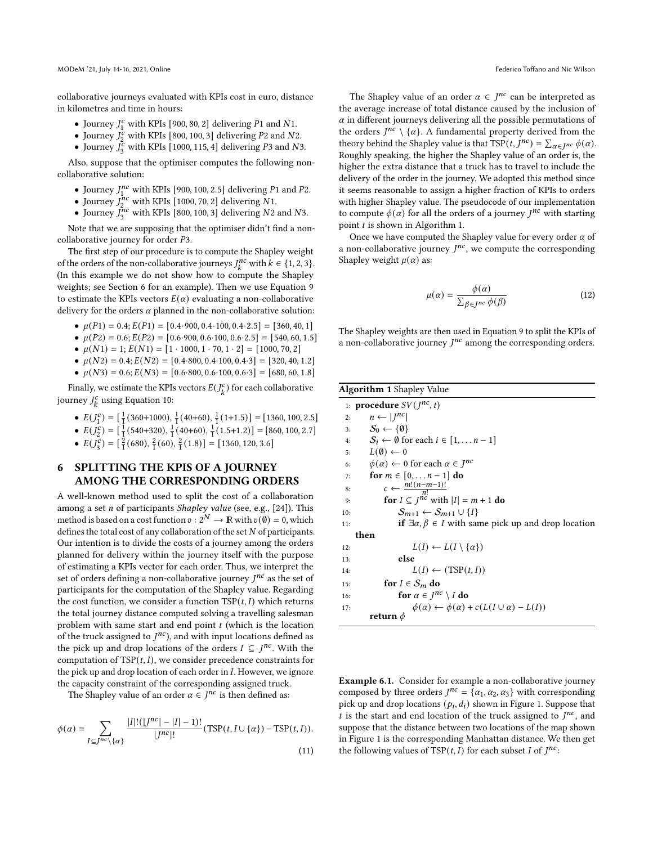collaborative journeys evaluated with KPIs cost in euro, distance in kilometres and time in hours:

- Journey  $J_1^c$  with KPIs [900, 80, 2] delivering P1 and N1.
- Journey  $J_2^c$  with KPIs [800, 100, 3] delivering P2 and N2.
- Journey  $J_3^c$  with KPIs [1000, 115, 4] delivering P3 and N3.

Also, suppose that the optimiser computes the following noncollaborative solution:

- Journey  $J_1^{nc}$  with KPIs [900, 100, 2.5] delivering P1 and P2.
- Journey  $J_2^{hc}$  with KPIs [1000, 70, 2] delivering N1.
- Journey  $J_3^{nc}$  with KPIs [800, 100, 3] delivering N2 and N3.

Note that we are supposing that the optimiser didn't find a noncollaborative journey for order P3.

The first step of our procedure is to compute the Shapley weight of the orders of the non-collaborative journeys  $J_k^{nc}$  with  $k \in \{1, 2, 3\}$ . (In this example we do not show how to compute the Shapley weights; see Section [6](#page-5-0) for an example). Then we use Equation [9](#page-4-2) to estimate the KPIs vectors  $E(\alpha)$  evaluating a non-collaborative delivery for the orders  $\alpha$  planned in the non-collaborative solution:

- $\mu(P1) = 0.4; E(P1) = [0.4.900, 0.4.100, 0.4.2.5] = [360, 40, 1]$
- $\mu(P2) = 0.6$ ;  $E(P2) = [0.6.900, 0.6.100, 0.6.2.5] = [540, 60, 1.5]$
- $\mu(N1) = 1; E(N1) = [1 \cdot 1000, 1 \cdot 70, 1 \cdot 2] = [1000, 70, 2]$
- $\mu(N2) = 0.4; E(N2) = [0.4.800, 0.4.100, 0.4.3] = [320, 40, 1.2]$
- $\mu(N3) = 0.6; E(N3) = [0.6.800, 0.6.100, 0.6.3] = [680, 60, 1.8]$

Finally, we estimate the KPIs vectors  $E(J_k^c)$  for each collaborative journey  $J_k^c$  using Equation [10:](#page-4-3)

- $E(J_1^c) = \left[\frac{1}{1}(360+1000), \frac{1}{1}(40+60), \frac{1}{1}(1+1.5)\right] = [1360, 100, 2.5]$
- $E(J_2^c) = \left[\frac{1}{1}(540+320), \frac{1}{1}(40+60), \frac{1}{1}(1.5+1.2)\right] = [860, 100, 2.7]$
- $E(J_3^c) = \left[\frac{2}{1}(680), \frac{2}{1}(60), \frac{2}{1}(1.8)\right] = [1360, 120, 3.6]$

# <span id="page-5-0"></span>6 SPLITTING THE KPIS OF A JOURNEY AMONG THE CORRESPONDING ORDERS

A well-known method used to split the cost of a collaboration among a set  $n$  of participants *Shapley value* (see, e.g., [\[24\]](#page-8-29)). This method is based on a cost function  $v : 2^N \to \mathbb{R}$  with  $v(\emptyset) = 0$ , which defines the total cost of any collaboration of the set  $N$  of participants. Our intention is to divide the costs of a journey among the orders planned for delivery within the journey itself with the purpose of estimating a KPIs vector for each order. Thus, we interpret the set of orders defining a non-collaborative journey  $I^{nc}$  as the set of participants for the computation of the Shapley value. Regarding the cost function, we consider a function  $TSP(t, I)$  which returns the total journey distance computed solving a travelling salesman problem with same start and end point  $t$  (which is the location of the truck assigned to  $I^{nc}$ ), and with input locations defined as the pick up and drop locations of the orders  $I \subseteq J^{nc}$ . With the computation of  $TSP(t, I)$ , we consider precedence constraints for the pick up and drop location of each order in  $I$ . However, we ignore the capacity constraint of the corresponding assigned truck.

The Shapley value of an order  $\alpha \in J^{nc}$  is then defined as:

<span id="page-5-2"></span>
$$
\phi(\alpha) = \sum_{I \subseteq J^{nc} \setminus \{\alpha\}} \frac{|I|!(|J^{nc}|-|I|-1)!}{|J^{nc}|!} (\text{TSP}(t, I \cup \{\alpha\}) - \text{TSP}(t, I)).
$$
\n(11)

The Shapley value of an order  $\alpha \in J^{nc}$  can be interpreted as the average increase of total distance caused by the inclusion of  $\alpha$  in different journeys delivering all the possible permutations of the orders  $J^{nc} \setminus \{\alpha\}$ . A fundamental property derived from the theory behind the Shapley value is that  $\text{TSP}(t, J^{nc}) = \sum_{\alpha \in J^{nc}} \phi(\alpha)$ . Roughly speaking, the higher the Shapley value of an order is, the higher the extra distance that a truck has to travel to include the delivery of the order in the journey. We adopted this method since it seems reasonable to assign a higher fraction of KPIs to orders with higher Shapley value. The pseudocode of our implementation to compute  $\phi(\alpha)$  for all the orders of a journey  $J^{nc}$  with starting point  $t$  is shown in Algorithm [1.](#page-5-1)

Once we have computed the Shapley value for every order  $\alpha$  of a non-collaborative journey  $I^{nc}$ , we compute the corresponding Shapley weight  $\mu(\alpha)$  as:

<span id="page-5-3"></span>
$$
\mu(\alpha) = \frac{\phi(\alpha)}{\sum_{\beta \in J^{nc}} \phi(\beta)}\tag{12}
$$

The Shapley weights are then used in Equation [9](#page-4-2) to split the KPIs of a non-collaborative journey  $I^{nc}$  among the corresponding orders.

<span id="page-5-1"></span>

|     | <b>Algorithm 1</b> Shapley Value                                            |
|-----|-----------------------------------------------------------------------------|
|     | 1: <b>procedure</b> $SV(J^{nc}, t)$                                         |
| 2:  | $n \leftarrow  I^{nc} $                                                     |
| 3:  | $S_0 \leftarrow \{\emptyset\}$                                              |
| 4:  | $S_i \leftarrow \emptyset$ for each $i \in [1, \ldots n-1]$                 |
| 5:  | $L(\emptyset) \leftarrow 0$                                                 |
| 6:  | $\phi(\alpha) \leftarrow 0$ for each $\alpha \in I^{nc}$                    |
| 7:  | for $m \in [0, , n-1]$ do                                                   |
| 8:  | $c \leftarrow \frac{m!(n-m-1)!}{n!}$                                        |
| 9:  | for $I \subseteq I^{nc}$ with $ I  = m + 1$ do                              |
| 10: | $S_{m+1} \leftarrow S_{m+1} \cup \{I\}$                                     |
| 11: | <b>if</b> $\exists \alpha, \beta \in I$ with same pick up and drop location |
|     | then                                                                        |
| 12: | $L(I) \leftarrow L(I \setminus {\{\alpha\}})$                               |
| 13: | else                                                                        |
| 14: | $L(I) \leftarrow (TSP(t, I))$                                               |
| 15: | for $I \in S_m$ do                                                          |
| 16: | for $\alpha \in J^{nc} \setminus I$ do                                      |
| 17: | $\phi(\alpha) \leftarrow \phi(\alpha) + c(L(I \cup \alpha) - L(I))$         |
|     | return $\phi$                                                               |

<span id="page-5-4"></span>Example 6.1. Consider for example a non-collaborative journey composed by three orders  $J^{nc} = {\alpha_1, \alpha_2, \alpha_3}$  with corresponding pick up and drop locations  $(p_i, d_i)$  shown in Figure [1.](#page-6-1) Suppose that t is the start and end location of the truck assigned to  $I^{nc}$ , and suppose that the distance between two locations of the map shown in Figure [1](#page-6-1) is the corresponding Manhattan distance. We then get the following values of TSP( $t, I$ ) for each subset I of  $J^{nc}$ :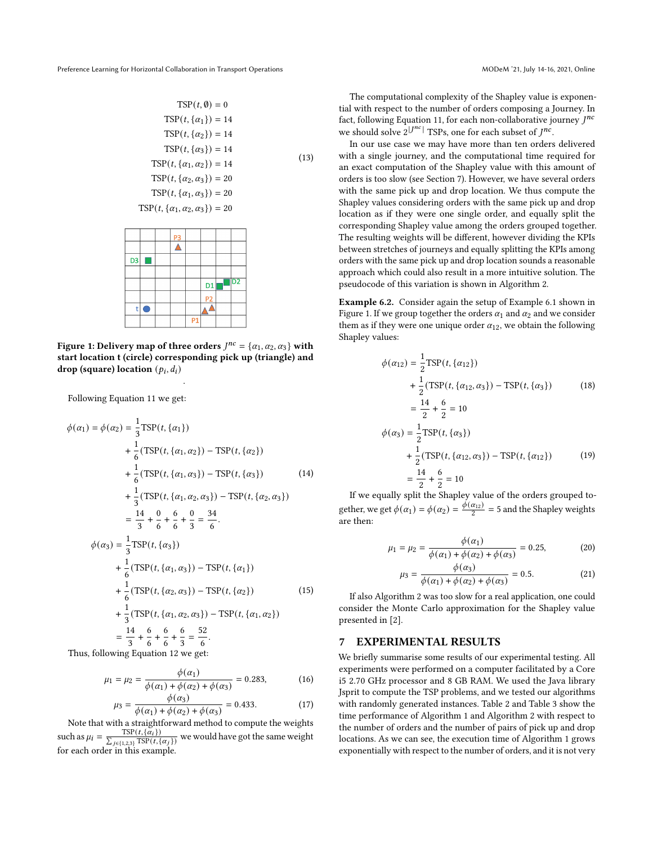$$
TSP(t, \emptyset) = 0
$$
  
\n
$$
TSP(t, \{\alpha_1\}) = 14
$$
  
\n
$$
TSP(t, \{\alpha_2\}) = 14
$$
  
\n
$$
TSP(t, \{\alpha_3\}) = 14
$$
  
\n
$$
TSP(t, \{\alpha_1, \alpha_2\}) = 14
$$
  
\n
$$
TSP(t, \{\alpha_2, \alpha_3\}) = 20
$$
  
\n
$$
TSP(t, \{\alpha_1, \alpha_3\}) = 20
$$
  
\n
$$
TSP(t, \{\alpha_1, \alpha_2, \alpha_3\}) = 20
$$
  
\n
$$
PSR(t, \{\alpha_1, \alpha_2, \alpha_3\}) = 20
$$

D<sub>1</sub>

<span id="page-6-1"></span>

.

Following Equation [11](#page-5-2) we get:

 $\ddot{}$ lO

$$
\phi(\alpha_1) = \phi(\alpha_2) = \frac{1}{3}TSP(t, \{\alpha_1\})
$$
  
+  $\frac{1}{6}(TSP(t, \{\alpha_1, \alpha_2\}) - TSP(t, \{\alpha_2\})$   
+  $\frac{1}{6}(TSP(t, \{\alpha_1, \alpha_3\}) - TSP(t, \{\alpha_3\})$  (14)  
+  $\frac{1}{3}(TSP(t, \{\alpha_1, \alpha_2, \alpha_3\}) - TSP(t, \{\alpha_2, \alpha_3\})$   
=  $\frac{14}{3} + \frac{0}{6} + \frac{6}{6} + \frac{0}{3} = \frac{34}{6}$ .  

$$
\phi(\alpha_3) = \frac{1}{3}TSP(t, \{\alpha_3\})
$$
  
+  $\frac{1}{6}(TSP(t, \{\alpha_1, \alpha_3\}) - TSP(t, \{\alpha_1\})$   
+  $\frac{1}{6}(TSP(t, \{\alpha_2, \alpha_3\}) - TSP(t, \{\alpha_2\})$  (15)  
+  $\frac{1}{3}(TSP(t, \{\alpha_1, \alpha_2, \alpha_3\}) - TSP(t, \{\alpha_1, \alpha_2\})$   
=  $\frac{14}{3} + \frac{6}{6} + \frac{6}{6} + \frac{6}{3} = \frac{52}{6}$ .  
Thus, following Equation 12 we get:

$$
\mu_1 = \mu_2 = \frac{\phi(\alpha_1)}{\phi(\alpha_1) + \phi(\alpha_2) + \phi(\alpha_3)} = 0.283,
$$
 (16)

$$
\mu_3 = \frac{\phi(\alpha_3)}{\phi(\alpha_1) + \phi(\alpha_2) + \phi(\alpha_3)} = 0.433. \tag{17}
$$

Note that with a straightforward method to compute the weights such as  $\mu_i = \frac{\text{TSP}(t, {\alpha_i})}{\sum_{i=1}^n \text{TSP}(t_i)}$  $\frac{\text{TSP}(t, \{\alpha_i\})}{\sum_{j \in \{1,2,3\}} \text{TSP}(t, \{\alpha_j\})}$  we would have got the same weight for each order in this example.

The computational complexity of the Shapley value is exponential with respect to the number of orders composing a Journey. In fact, following Equation [11,](#page-5-2) for each non-collaborative journey  $I^{nc}$ we should solve  $2^{|J^{nc}|}$  TSPs, one for each subset of  $I^{nc}$ .

In our use case we may have more than ten orders delivered with a single journey, and the computational time required for an exact computation of the Shapley value with this amount of orders is too slow (see Section [7\)](#page-6-0). However, we have several orders with the same pick up and drop location. We thus compute the Shapley values considering orders with the same pick up and drop location as if they were one single order, and equally split the corresponding Shapley value among the orders grouped together. The resulting weights will be different, however dividing the KPIs between stretches of journeys and equally splitting the KPIs among orders with the same pick up and drop location sounds a reasonable approach which could also result in a more intuitive solution. The pseudocode of this variation is shown in Algorithm [2.](#page-7-1)

Example 6.2. Consider again the setup of Example [6.1](#page-5-4) shown in Figure [1.](#page-6-1) If we group together the orders  $\alpha_1$  and  $\alpha_2$  and we consider them as if they were one unique order  $\alpha_{12}$ , we obtain the following Shapley values:

$$
\phi(\alpha_{12}) = \frac{1}{2}TSP(t, \{\alpha_{12}\})
$$
  
+ 
$$
\frac{1}{2}(TSP(t, \{\alpha_{12}, \alpha_3\}) - TSP(t, \{\alpha_3\})
$$
(18)  
= 
$$
\frac{14}{2} + \frac{6}{2} = 10
$$
  

$$
\phi(\alpha_3) = \frac{1}{2}TSP(t, \{\alpha_3\})
$$
  
+ 
$$
\frac{1}{2}(TSP(t, \{\alpha_{12}, \alpha_3\}) - TSP(t, \{\alpha_{12}\})
$$
(19)  
= 
$$
\frac{14}{2} + \frac{6}{2} = 10
$$

If we equally split the Shapley value of the orders grouped together, we get  $\phi(\alpha_1) = \phi(\alpha_2) = \frac{\dot{\phi}(\alpha_{12})}{2} = 5$  and the Shapley weights are then:

$$
\mu_1 = \mu_2 = \frac{\phi(\alpha_1)}{\phi(\alpha_1) + \phi(\alpha_2) + \phi(\alpha_3)} = 0.25, \tag{20}
$$

$$
\mu_3 = \frac{\phi(\alpha_3)}{\phi(\alpha_1) + \phi(\alpha_2) + \phi(\alpha_3)} = 0.5.
$$
 (21)

If also Algorithm [2](#page-7-1) was too slow for a real application, one could consider the Monte Carlo approximation for the Shapley value presented in [\[2\]](#page-8-30).

# <span id="page-6-0"></span>7 EXPERIMENTAL RESULTS

We briefly summarise some results of our experimental testing. All experiments were performed on a computer facilitated by a Core i5 2.70 GHz processor and 8 GB RAM. We used the Java library Jsprit to compute the TSP problems, and we tested our algorithms with randomly generated instances. Table [2](#page-7-2) and Table [3](#page-7-3) show the time performance of Algorithm [1](#page-5-1) and Algorithm [2](#page-7-1) with respect to the number of orders and the number of pairs of pick up and drop locations. As we can see, the execution time of Algorithm [1](#page-5-1) grows exponentially with respect to the number of orders, and it is not very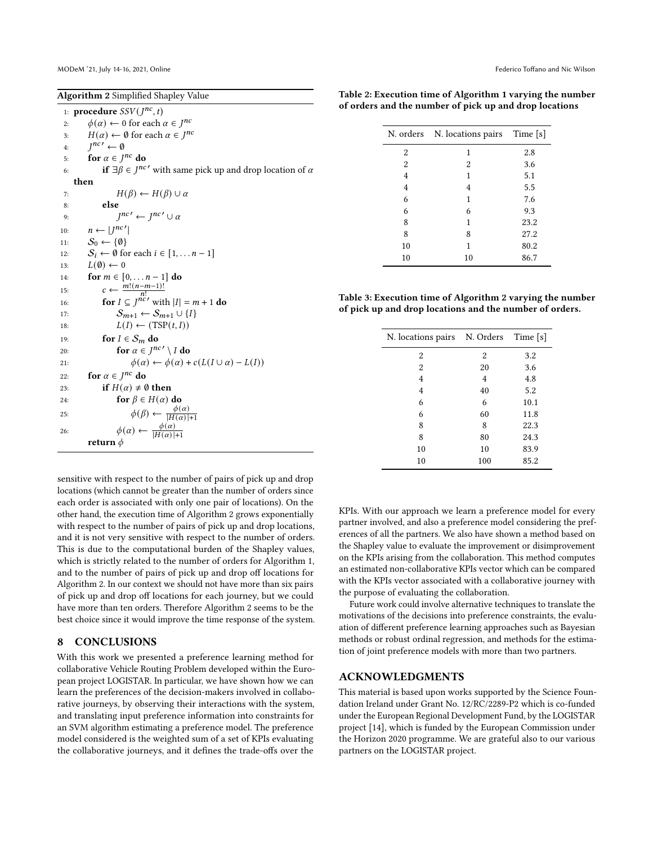<span id="page-7-1"></span>

| <b>Algorithm 2</b> Simplified Shapley Value                                          |  |  |  |
|--------------------------------------------------------------------------------------|--|--|--|
| 1: <b>procedure</b> $SSV(J^{nc}, t)$                                                 |  |  |  |
| $\phi(\alpha) \leftarrow 0$ for each $\alpha \in J^{nc}$<br>2:                       |  |  |  |
| $H(\alpha) \leftarrow \emptyset$ for each $\alpha \in J^{nc}$<br>3:                  |  |  |  |
| $I^{nc} \leftarrow \emptyset$<br>4:                                                  |  |  |  |
| for $\alpha \in I^{nc}$ do<br>5:                                                     |  |  |  |
| if $\exists \beta \in J^{nc'}$ with same pick up and drop location of $\alpha$<br>6: |  |  |  |
| then                                                                                 |  |  |  |
| $H(\beta) \leftarrow H(\beta) \cup \alpha$<br>7:                                     |  |  |  |
| else<br>8:                                                                           |  |  |  |
| $I^{nc'} \leftarrow I^{nc'} \cup \alpha$<br>9:                                       |  |  |  |
| $n \leftarrow  I^{nc'} $<br>10:                                                      |  |  |  |
| $S_0 \leftarrow \{\emptyset\}$<br>11:                                                |  |  |  |
| $S_i \leftarrow \emptyset$ for each $i \in [1, \ldots n-1]$<br>12:                   |  |  |  |
| $L(\emptyset) \leftarrow 0$<br>13:                                                   |  |  |  |
| for $m \in [0, , n - 1]$ do<br>14:                                                   |  |  |  |
| $c \leftarrow \frac{m!(n-m-1)!}{n!}$<br>15:                                          |  |  |  |
| for $I \subseteq J^{nc'}$ with $ I  = m + 1$ do<br>16:                               |  |  |  |
| $S_{m+1} \leftarrow S_{m+1} \cup \{I\}$<br>17:                                       |  |  |  |
| $L(I) \leftarrow (TSP(t, I))$<br>18:                                                 |  |  |  |
| for $I \in S_m$ do<br>19:                                                            |  |  |  |
| for $\alpha \in I^{nc'} \setminus I$ do<br>20:                                       |  |  |  |
| $\phi(\alpha) \leftarrow \phi(\alpha) + c(L(I \cup \alpha) - L(I))$<br>21:           |  |  |  |
| for $\alpha \in I^{nc}$ do<br>22:                                                    |  |  |  |
| if $H(\alpha) \neq \emptyset$ then<br>23:                                            |  |  |  |
| for $\beta \in H(\alpha)$ do<br>24:                                                  |  |  |  |
| $\phi(\beta) \leftarrow \frac{\phi(\alpha)}{ H(\alpha) +1}$<br>25:                   |  |  |  |
| $\phi(\alpha) \leftarrow \frac{\phi(\alpha)}{ H(\alpha) +1}$<br>26:                  |  |  |  |
|                                                                                      |  |  |  |
| return $\phi$                                                                        |  |  |  |

<span id="page-7-2"></span>Table 2: Execution time of Algorithm [1](#page-5-1) varying the number of orders and the number of pick up and drop locations

|                | N. orders N. locations pairs Time [s] |      |
|----------------|---------------------------------------|------|
| 2              | 1                                     | 2.8  |
| $\overline{2}$ | 2                                     | 3.6  |
| 4              | 1                                     | 5.1  |
| 4              | 4                                     | 5.5  |
| 6              | 1                                     | 7.6  |
| 6              | 6                                     | 9.3  |
| 8              | 1                                     | 23.2 |
| 8              | 8                                     | 27.2 |
| 10             | 1                                     | 80.2 |
| 10             | 10                                    | 86.7 |

<span id="page-7-3"></span>Table 3: Execution time of Algorithm [2](#page-7-1) varying the number of pick up and drop locations and the number of orders.

| N. locations pairs | N. Orders | Time [s] |
|--------------------|-----------|----------|
| 2                  | 2         | 3.2      |
| 2                  | 20        | 3.6      |
| 4                  | 4         | 4.8      |
| 4                  | 40        | 5.2      |
| 6                  | 6         | 10.1     |
| 6                  | 60        | 11.8     |
| 8                  | 8         | 22.3     |
| 8                  | 80        | 24.3     |
| 10                 | 10        | 83.9     |
| 10                 | 100       | 85.2     |

sensitive with respect to the number of pairs of pick up and drop locations (which cannot be greater than the number of orders since each order is associated with only one pair of locations). On the other hand, the execution time of Algorithm [2](#page-7-1) grows exponentially with respect to the number of pairs of pick up and drop locations, and it is not very sensitive with respect to the number of orders. This is due to the computational burden of the Shapley values, which is strictly related to the number of orders for Algorithm [1,](#page-5-1) and to the number of pairs of pick up and drop off locations for Algorithm [2.](#page-7-1) In our context we should not have more than six pairs of pick up and drop off locations for each journey, but we could have more than ten orders. Therefore Algorithm [2](#page-7-1) seems to be the best choice since it would improve the time response of the system.

#### <span id="page-7-0"></span>8 CONCLUSIONS

With this work we presented a preference learning method for collaborative Vehicle Routing Problem developed within the European project LOGISTAR. In particular, we have shown how we can learn the preferences of the decision-makers involved in collaborative journeys, by observing their interactions with the system, and translating input preference information into constraints for an SVM algorithm estimating a preference model. The preference model considered is the weighted sum of a set of KPIs evaluating the collaborative journeys, and it defines the trade-offs over the

KPIs. With our approach we learn a preference model for every partner involved, and also a preference model considering the preferences of all the partners. We also have shown a method based on the Shapley value to evaluate the improvement or disimprovement on the KPIs arising from the collaboration. This method computes an estimated non-collaborative KPIs vector which can be compared with the KPIs vector associated with a collaborative journey with the purpose of evaluating the collaboration.

Future work could involve alternative techniques to translate the motivations of the decisions into preference constraints, the evaluation of different preference learning approaches such as Bayesian methods or robust ordinal regression, and methods for the estimation of joint preference models with more than two partners.

#### ACKNOWLEDGMENTS

This material is based upon works supported by the Science Foundation Ireland under Grant No. 12/RC/2289-P2 which is co-funded under the European Regional Development Fund, by the LOGISTAR project [\[14\]](#page-8-31), which is funded by the European Commission under the Horizon 2020 programme. We are grateful also to our various partners on the LOGISTAR project.